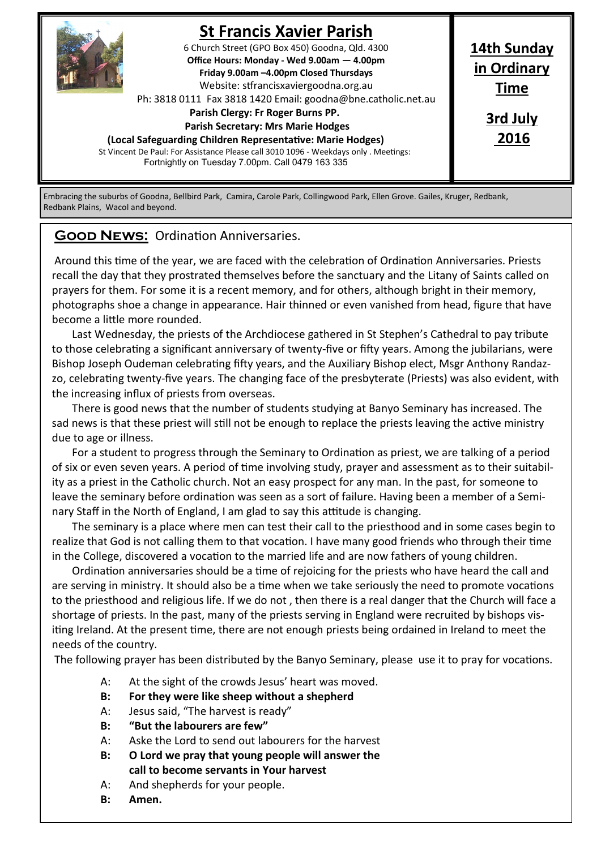

# **St Francis Xavier Parish**

6 Church Street (GPO Box 450) Goodna, Qld. 4300 **Office Hours: Monday - Wed 9.00am — 4.00pm Friday 9.00am –4.00pm Closed Thursdays**  Website: stfrancisxaviergoodna.org.au

Ph: 3818 0111 Fax 3818 1420 Email: goodna@bne.catholic.net.au

## **Parish Clergy: Fr Roger Burns PP.**

 **Parish Secretary: Mrs Marie Hodges**

**(Local Safeguarding Children Representative: Marie Hodges)**

St Vincent De Paul: For Assistance Please call 3010 1096 - Weekdays only . Meetings: Fortnightly on Tuesday 7.00pm. Call 0479 163 335

**14th Sunday in Ordinary Time 3rd July**

**2016**

Embracing the suburbs of Goodna, Bellbird Park, Camira, Carole Park, Collingwood Park, Ellen Grove. Gailes, Kruger, Redbank, Redbank Plains, Wacol and beyond.

### **Good News:** Ordination Anniversaries.

Around this time of the year, we are faced with the celebration of Ordination Anniversaries. Priests recall the day that they prostrated themselves before the sanctuary and the Litany of Saints called on prayers for them. For some it is a recent memory, and for others, although bright in their memory, photographs shoe a change in appearance. Hair thinned or even vanished from head, figure that have become a little more rounded.

Last Wednesday, the priests of the Archdiocese gathered in St Stephen's Cathedral to pay tribute to those celebrating a significant anniversary of twenty-five or fifty years. Among the jubilarians, were Bishop Joseph Oudeman celebrating fifty years, and the Auxiliary Bishop elect, Msgr Anthony Randazzo, celebrating twenty-five years. The changing face of the presbyterate (Priests) was also evident, with the increasing influx of priests from overseas.

There is good news that the number of students studying at Banyo Seminary has increased. The sad news is that these priest will still not be enough to replace the priests leaving the active ministry due to age or illness.

For a student to progress through the Seminary to Ordination as priest, we are talking of a period of six or even seven years. A period of time involving study, prayer and assessment as to their suitability as a priest in the Catholic church. Not an easy prospect for any man. In the past, for someone to leave the seminary before ordination was seen as a sort of failure. Having been a member of a Seminary Staff in the North of England, I am glad to say this attitude is changing.

The seminary is a place where men can test their call to the priesthood and in some cases begin to realize that God is not calling them to that vocation. I have many good friends who through their time in the College, discovered a vocation to the married life and are now fathers of young children.

Ordination anniversaries should be a time of rejoicing for the priests who have heard the call and are serving in ministry. It should also be a time when we take seriously the need to promote vocations to the priesthood and religious life. If we do not , then there is a real danger that the Church will face a shortage of priests. In the past, many of the priests serving in England were recruited by bishops visiting Ireland. At the present time, there are not enough priests being ordained in Ireland to meet the needs of the country.

The following prayer has been distributed by the Banyo Seminary, please use it to pray for vocations.

- A: At the sight of the crowds Jesus' heart was moved.
- **B: For they were like sheep without a shepherd**
- A: Jesus said, "The harvest is ready"
- **B: "But the labourers are few"**
- A: Aske the Lord to send out labourers for the harvest
- **B: O Lord we pray that young people will answer the call to become servants in Your harvest**
- A: And shepherds for your people.
- **B: Amen.**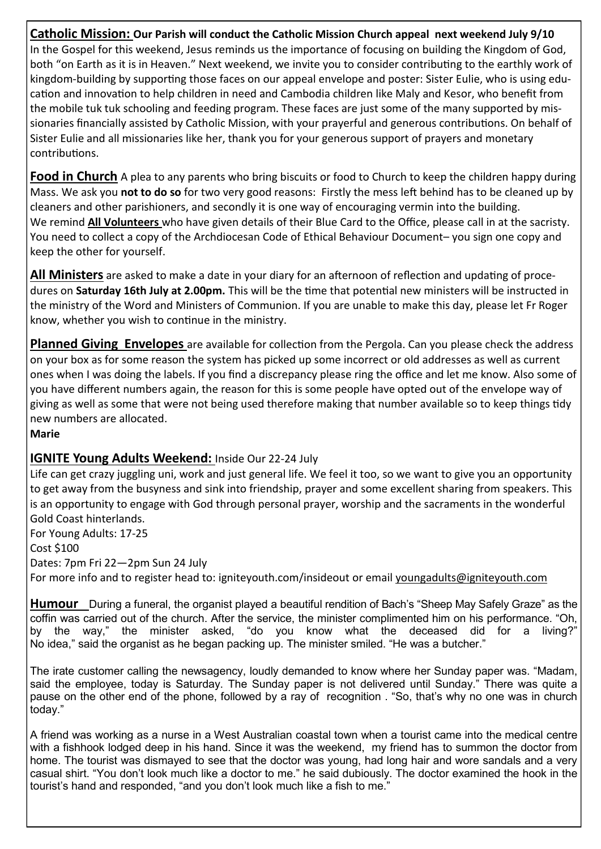**Catholic Mission: Our Parish will conduct the Catholic Mission Church appeal next weekend July 9/10** In the Gospel for this weekend, Jesus reminds us the importance of focusing on building the Kingdom of God, both "on Earth as it is in Heaven." Next weekend, we invite you to consider contributing to the earthly work of kingdom-building by supporting those faces on our appeal envelope and poster: Sister Eulie, who is using education and innovation to help children in need and Cambodia children like Maly and Kesor, who benefit from the mobile tuk tuk schooling and feeding program. These faces are just some of the many supported by missionaries financially assisted by Catholic Mission, with your prayerful and generous contributions. On behalf of Sister Eulie and all missionaries like her, thank you for your generous support of prayers and monetary contributions.

**Food in Church** A plea to any parents who bring biscuits or food to Church to keep the children happy during Mass. We ask you **not to do so** for two very good reasons: Firstly the mess left behind has to be cleaned up by cleaners and other parishioners, and secondly it is one way of encouraging vermin into the building. We remind **All Volunteers** who have given details of their Blue Card to the Office, please call in at the sacristy. You need to collect a copy of the Archdiocesan Code of Ethical Behaviour Document– you sign one copy and keep the other for yourself.

**All Ministers** are asked to make a date in your diary for an afternoon of reflection and updating of procedures on **Saturday 16th July at 2.00pm.** This will be the time that potential new ministers will be instructed in the ministry of the Word and Ministers of Communion. If you are unable to make this day, please let Fr Roger know, whether you wish to continue in the ministry.

**Planned Giving Envelopes** are available for collection from the Pergola. Can you please check the address on your box as for some reason the system has picked up some incorrect or old addresses as well as current ones when I was doing the labels. If you find a discrepancy please ring the office and let me know. Also some of you have different numbers again, the reason for this is some people have opted out of the envelope way of giving as well as some that were not being used therefore making that number available so to keep things tidy new numbers are allocated.

**Marie**

### **IGNITE Young Adults Weekend:** Inside Our 22-24 July

Life can get crazy juggling uni, work and just general life. We feel it too, so we want to give you an opportunity to get away from the busyness and sink into friendship, prayer and some excellent sharing from speakers. This is an opportunity to engage with God through personal prayer, worship and the sacraments in the wonderful Gold Coast hinterlands.

For Young Adults: 17-25 Cost \$100 Dates: 7pm Fri 22—2pm Sun 24 July For more info and to register head to: igniteyouth.com/insideout or email youngadults@igniteyouth.com

**Humour** During a funeral, the organist played a beautiful rendition of Bach's "Sheep May Safely Graze" as the coffin was carried out of the church. After the service, the minister complimented him on his performance. "Oh, by the way," the minister asked, "do you know what the deceased did for a living?" No idea," said the organist as he began packing up. The minister smiled. "He was a butcher."

The irate customer calling the newsagency, loudly demanded to know where her Sunday paper was. "Madam, said the employee, today is Saturday. The Sunday paper is not delivered until Sunday." There was quite a pause on the other end of the phone, followed by a ray of recognition . "So, that's why no one was in church today."

A friend was working as a nurse in a West Australian coastal town when a tourist came into the medical centre with a fishhook lodged deep in his hand. Since it was the weekend, my friend has to summon the doctor from home. The tourist was dismayed to see that the doctor was young, had long hair and wore sandals and a very casual shirt. "You don't look much like a doctor to me." he said dubiously. The doctor examined the hook in the tourist's hand and responded, "and you don't look much like a fish to me."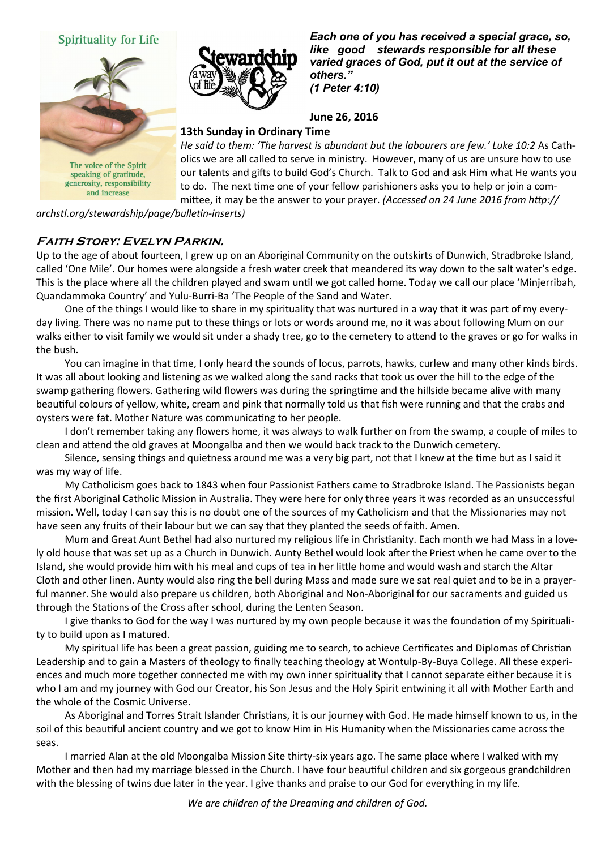



and increase



*Each one of you has received a special grace, so, like good stewards responsible for all these varied graces of God, put it out at the service of others." (1 Peter 4:10)*

#### **June 26, 2016**

#### **13th Sunday in Ordinary Time**

*He said to them: 'The harvest is abundant but the labourers are few.' Luke 10:2 As Cath*olics we are all called to serve in ministry. However, many of us are unsure how to use our talents and gifts to build God's Church. Talk to God and ask Him what He wants you to do. The next time one of your fellow parishioners asks you to help or join a committee, it may be the answer to your prayer. *(Accessed on 24 June 2016 from http://*

*archstl.org/stewardship/page/bulletin-inserts)* 

### **Faith Story: Evelyn Parkin.**

Up to the age of about fourteen, I grew up on an Aboriginal Community on the outskirts of Dunwich, Stradbroke Island, called 'One Mile'. Our homes were alongside a fresh water creek that meandered its way down to the salt water's edge. This is the place where all the children played and swam until we got called home. Today we call our place 'Minjerribah, Quandammoka Country' and Yulu-Burri-Ba 'The People of the Sand and Water.

One of the things I would like to share in my spirituality that was nurtured in a way that it was part of my everyday living. There was no name put to these things or lots or words around me, no it was about following Mum on our walks either to visit family we would sit under a shady tree, go to the cemetery to attend to the graves or go for walks in the bush.

You can imagine in that time, I only heard the sounds of locus, parrots, hawks, curlew and many other kinds birds. It was all about looking and listening as we walked along the sand racks that took us over the hill to the edge of the swamp gathering flowers. Gathering wild flowers was during the springtime and the hillside became alive with many beautiful colours of yellow, white, cream and pink that normally told us that fish were running and that the crabs and oysters were fat. Mother Nature was communicating to her people.

I don't remember taking any flowers home, it was always to walk further on from the swamp, a couple of miles to clean and attend the old graves at Moongalba and then we would back track to the Dunwich cemetery.

Silence, sensing things and quietness around me was a very big part, not that I knew at the time but as I said it was my way of life.

My Catholicism goes back to 1843 when four Passionist Fathers came to Stradbroke Island. The Passionists began the first Aboriginal Catholic Mission in Australia. They were here for only three years it was recorded as an unsuccessful mission. Well, today I can say this is no doubt one of the sources of my Catholicism and that the Missionaries may not have seen any fruits of their labour but we can say that they planted the seeds of faith. Amen.

Mum and Great Aunt Bethel had also nurtured my religious life in Christianity. Each month we had Mass in a lovely old house that was set up as a Church in Dunwich. Aunty Bethel would look after the Priest when he came over to the Island, she would provide him with his meal and cups of tea in her little home and would wash and starch the Altar Cloth and other linen. Aunty would also ring the bell during Mass and made sure we sat real quiet and to be in a prayerful manner. She would also prepare us children, both Aboriginal and Non-Aboriginal for our sacraments and guided us through the Stations of the Cross after school, during the Lenten Season.

I give thanks to God for the way I was nurtured by my own people because it was the foundation of my Spirituality to build upon as I matured.

My spiritual life has been a great passion, guiding me to search, to achieve Certificates and Diplomas of Christian Leadership and to gain a Masters of theology to finally teaching theology at Wontulp-By-Buya College. All these experiences and much more together connected me with my own inner spirituality that I cannot separate either because it is who I am and my journey with God our Creator, his Son Jesus and the Holy Spirit entwining it all with Mother Earth and the whole of the Cosmic Universe.

As Aboriginal and Torres Strait Islander Christians, it is our journey with God. He made himself known to us, in the soil of this beautiful ancient country and we got to know Him in His Humanity when the Missionaries came across the seas.

I married Alan at the old Moongalba Mission Site thirty-six years ago. The same place where I walked with my Mother and then had my marriage blessed in the Church. I have four beautiful children and six gorgeous grandchildren with the blessing of twins due later in the year. I give thanks and praise to our God for everything in my life.

*We are children of the Dreaming and children of God.*